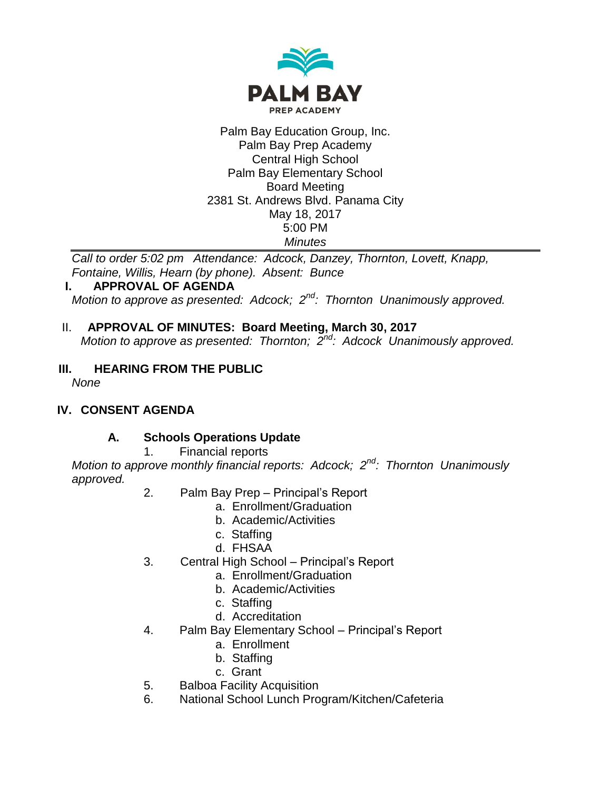

#### Palm Bay Education Group, Inc. Palm Bay Prep Academy Central High School Palm Bay Elementary School Board Meeting 2381 St. Andrews Blvd. Panama City May 18, 2017 5:00 PM *Minutes*

*Call to order 5:02 pm Attendance: Adcock, Danzey, Thornton, Lovett, Knapp, Fontaine, Willis, Hearn (by phone). Absent: Bunce*

### **I. APPROVAL OF AGENDA**

*Motion to approve as presented: Adcock; 2nd: Thornton Unanimously approved.*

### II. **APPROVAL OF MINUTES: Board Meeting, March 30, 2017**

*Motion to approve as presented: Thornton; 2nd: Adcock Unanimously approved.*

# **III. HEARING FROM THE PUBLIC**

*None*

# **IV. CONSENT AGENDA**

### **A. Schools Operations Update**

### 1. Financial reports

*Motion to approve monthly financial reports: Adcock; 2nd: Thornton Unanimously approved.*

- 2. Palm Bay Prep Principal's Report
	- a. Enrollment/Graduation
	- b. Academic/Activities
	- c. Staffing
	- d. FHSAA
- 3. Central High School Principal's Report
	- a. Enrollment/Graduation
	- b. Academic/Activities
	- c. Staffing
	- d. Accreditation
- 4. Palm Bay Elementary School Principal's Report
	- a. Enrollment
	- b. Staffing
	- c. Grant
- 5. Balboa Facility Acquisition
- 6. National School Lunch Program/Kitchen/Cafeteria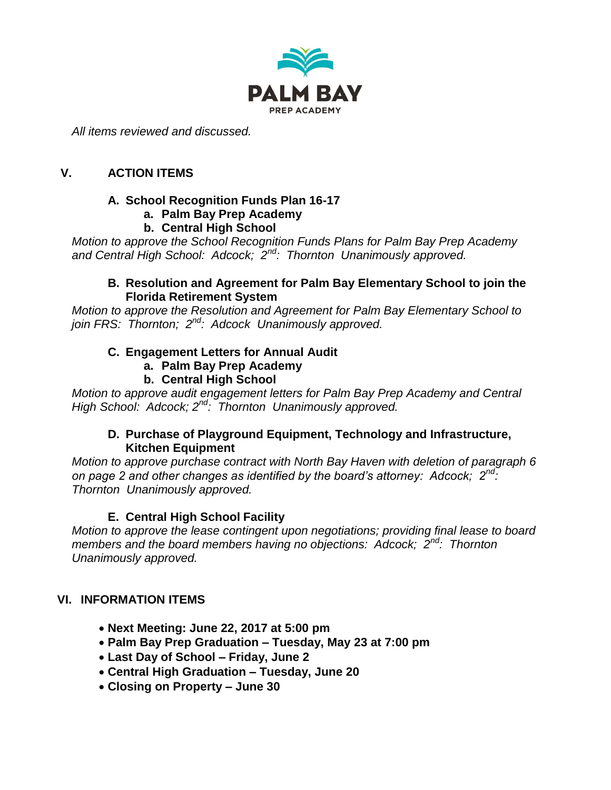

*All items reviewed and discussed.*

### **V. ACTION ITEMS**

#### **A. School Recognition Funds Plan 16-17**

**a. Palm Bay Prep Academy**

#### **b. Central High School**

*Motion to approve the School Recognition Funds Plans for Palm Bay Prep Academy and Central High School: Adcock; 2nd: Thornton Unanimously approved.*

#### **B. Resolution and Agreement for Palm Bay Elementary School to join the Florida Retirement System**

*Motion to approve the Resolution and Agreement for Palm Bay Elementary School to join FRS: Thornton; 2nd: Adcock Unanimously approved.*

#### **C. Engagement Letters for Annual Audit**

- **a. Palm Bay Prep Academy**
- **b. Central High School**

*Motion to approve audit engagement letters for Palm Bay Prep Academy and Central High School: Adcock; 2nd: Thornton Unanimously approved.*

#### **D. Purchase of Playground Equipment, Technology and Infrastructure, Kitchen Equipment**

*Motion to approve purchase contract with North Bay Haven with deletion of paragraph 6 on page 2 and other changes as identified by the board's attorney: Adcock; 2nd: Thornton Unanimously approved.*

### **E. Central High School Facility**

*Motion to approve the lease contingent upon negotiations; providing final lease to board members and the board members having no objections: Adcock; 2nd: Thornton Unanimously approved.*

#### **VI. INFORMATION ITEMS**

- **Next Meeting: June 22, 2017 at 5:00 pm**
- **Palm Bay Prep Graduation – Tuesday, May 23 at 7:00 pm**
- **Last Day of School – Friday, June 2**
- **Central High Graduation – Tuesday, June 20**
- **Closing on Property – June 30**